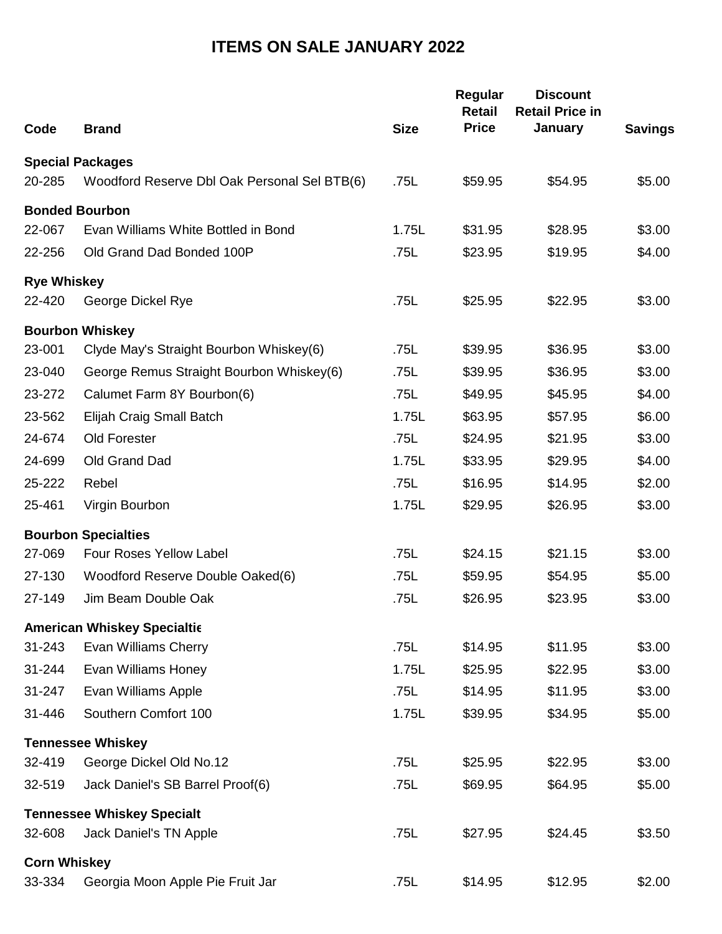## **ITEMS ON SALE JANUARY 2022**

| Code                | <b>Brand</b>                                 | <b>Size</b> | Regular<br><b>Retail</b><br><b>Price</b> | <b>Discount</b><br><b>Retail Price in</b><br>January | <b>Savings</b> |
|---------------------|----------------------------------------------|-------------|------------------------------------------|------------------------------------------------------|----------------|
|                     |                                              |             |                                          |                                                      |                |
|                     | <b>Special Packages</b>                      |             |                                          |                                                      |                |
| 20-285              | Woodford Reserve Dbl Oak Personal Sel BTB(6) | .75L        | \$59.95                                  | \$54.95                                              | \$5.00         |
|                     | <b>Bonded Bourbon</b>                        |             |                                          |                                                      |                |
| 22-067              | Evan Williams White Bottled in Bond          | 1.75L       | \$31.95                                  | \$28.95                                              | \$3.00         |
| 22-256              | Old Grand Dad Bonded 100P                    | .75L        | \$23.95                                  | \$19.95                                              | \$4.00         |
| <b>Rye Whiskey</b>  |                                              |             |                                          |                                                      |                |
| 22-420              | George Dickel Rye                            | .75L        | \$25.95                                  | \$22.95                                              | \$3.00         |
|                     | <b>Bourbon Whiskey</b>                       |             |                                          |                                                      |                |
| 23-001              | Clyde May's Straight Bourbon Whiskey(6)      | .75L        | \$39.95                                  | \$36.95                                              | \$3.00         |
| 23-040              | George Remus Straight Bourbon Whiskey(6)     | .75L        | \$39.95                                  | \$36.95                                              | \$3.00         |
| 23-272              | Calumet Farm 8Y Bourbon(6)                   | .75L        | \$49.95                                  | \$45.95                                              | \$4.00         |
| 23-562              | Elijah Craig Small Batch                     | 1.75L       | \$63.95                                  | \$57.95                                              | \$6.00         |
| 24-674              | Old Forester                                 | .75L        | \$24.95                                  | \$21.95                                              | \$3.00         |
| 24-699              | Old Grand Dad                                | 1.75L       | \$33.95                                  | \$29.95                                              | \$4.00         |
| 25-222              | Rebel                                        | .75L        | \$16.95                                  | \$14.95                                              | \$2.00         |
| 25-461              | Virgin Bourbon                               | 1.75L       | \$29.95                                  | \$26.95                                              | \$3.00         |
|                     | <b>Bourbon Specialties</b>                   |             |                                          |                                                      |                |
| 27-069              | <b>Four Roses Yellow Label</b>               | .75L        | \$24.15                                  | \$21.15                                              | \$3.00         |
| 27-130              | Woodford Reserve Double Oaked(6)             | .75L        | \$59.95                                  | \$54.95                                              | \$5.00         |
| 27-149              | Jim Beam Double Oak                          | .75L        | \$26.95                                  | \$23.95                                              | \$3.00         |
|                     | <b>American Whiskey Specialtic</b>           |             |                                          |                                                      |                |
| 31-243              | Evan Williams Cherry                         | .75L        | \$14.95                                  | \$11.95                                              | \$3.00         |
| 31-244              | Evan Williams Honey                          | 1.75L       | \$25.95                                  | \$22.95                                              | \$3.00         |
| 31-247              | Evan Williams Apple                          | .75L        | \$14.95                                  | \$11.95                                              | \$3.00         |
| 31-446              | Southern Comfort 100                         | 1.75L       | \$39.95                                  | \$34.95                                              | \$5.00         |
|                     | <b>Tennessee Whiskey</b>                     |             |                                          |                                                      |                |
| 32-419              | George Dickel Old No.12                      | .75L        | \$25.95                                  | \$22.95                                              | \$3.00         |
| 32-519              | Jack Daniel's SB Barrel Proof(6)             | .75L        | \$69.95                                  | \$64.95                                              | \$5.00         |
|                     | <b>Tennessee Whiskey Specialt</b>            |             |                                          |                                                      |                |
| 32-608              | Jack Daniel's TN Apple                       | .75L        | \$27.95                                  | \$24.45                                              | \$3.50         |
| <b>Corn Whiskey</b> |                                              |             |                                          |                                                      |                |
| 33-334              | Georgia Moon Apple Pie Fruit Jar             | .75L        | \$14.95                                  | \$12.95                                              | \$2.00         |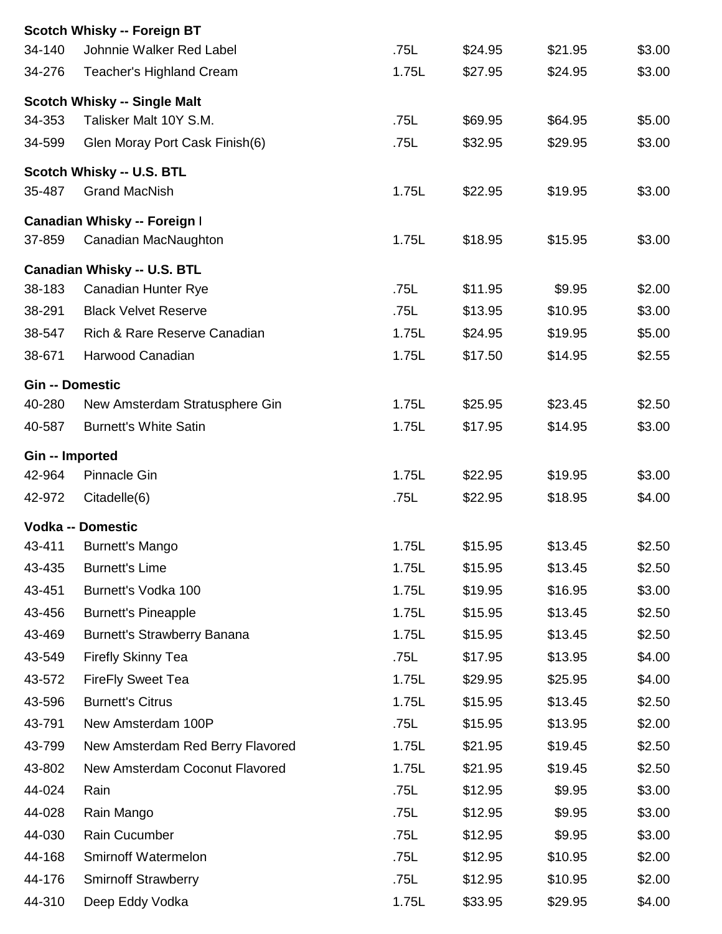|                 | <b>Scotch Whisky -- Foreign BT</b>  |       |         |         |        |
|-----------------|-------------------------------------|-------|---------|---------|--------|
| 34-140          | Johnnie Walker Red Label            | .75L  | \$24.95 | \$21.95 | \$3.00 |
| 34-276          | <b>Teacher's Highland Cream</b>     | 1.75L | \$27.95 | \$24.95 | \$3.00 |
|                 | <b>Scotch Whisky -- Single Malt</b> |       |         |         |        |
| 34-353          | Talisker Malt 10Y S.M.              | .75L  | \$69.95 | \$64.95 | \$5.00 |
| 34-599          | Glen Moray Port Cask Finish(6)      | .75L  | \$32.95 | \$29.95 | \$3.00 |
|                 | Scotch Whisky -- U.S. BTL           |       |         |         |        |
| 35-487          | <b>Grand MacNish</b>                | 1.75L | \$22.95 | \$19.95 | \$3.00 |
|                 | Canadian Whisky -- Foreign I        |       |         |         |        |
| 37-859          | Canadian MacNaughton                | 1.75L | \$18.95 | \$15.95 | \$3.00 |
|                 | Canadian Whisky -- U.S. BTL         |       |         |         |        |
| 38-183          | Canadian Hunter Rye                 | .75L  | \$11.95 | \$9.95  | \$2.00 |
| 38-291          | <b>Black Velvet Reserve</b>         | .75L  | \$13.95 | \$10.95 | \$3.00 |
| 38-547          | Rich & Rare Reserve Canadian        | 1.75L | \$24.95 | \$19.95 | \$5.00 |
| 38-671          | Harwood Canadian                    | 1.75L | \$17.50 | \$14.95 | \$2.55 |
|                 | <b>Gin -- Domestic</b>              |       |         |         |        |
| 40-280          | New Amsterdam Stratusphere Gin      | 1.75L | \$25.95 | \$23.45 | \$2.50 |
| 40-587          | <b>Burnett's White Satin</b>        | 1.75L | \$17.95 | \$14.95 | \$3.00 |
| Gin -- Imported |                                     |       |         |         |        |
| 42-964          | <b>Pinnacle Gin</b>                 | 1.75L | \$22.95 | \$19.95 | \$3.00 |
| 42-972          | Citadelle(6)                        | .75L  | \$22.95 | \$18.95 | \$4.00 |
|                 | <b>Vodka -- Domestic</b>            |       |         |         |        |
| 43-411          | <b>Burnett's Mango</b>              | 1.75L | \$15.95 | \$13.45 | \$2.50 |
| 43-435          | <b>Burnett's Lime</b>               | 1.75L | \$15.95 | \$13.45 | \$2.50 |
| 43-451          | Burnett's Vodka 100                 | 1.75L | \$19.95 | \$16.95 | \$3.00 |
| 43-456          | <b>Burnett's Pineapple</b>          | 1.75L | \$15.95 | \$13.45 | \$2.50 |
| 43-469          | <b>Burnett's Strawberry Banana</b>  | 1.75L | \$15.95 | \$13.45 | \$2.50 |
| 43-549          | <b>Firefly Skinny Tea</b>           | .75L  | \$17.95 | \$13.95 | \$4.00 |
| 43-572          | <b>FireFly Sweet Tea</b>            | 1.75L | \$29.95 | \$25.95 | \$4.00 |
| 43-596          | <b>Burnett's Citrus</b>             | 1.75L | \$15.95 | \$13.45 | \$2.50 |
| 43-791          | New Amsterdam 100P                  | .75L  | \$15.95 | \$13.95 | \$2.00 |
| 43-799          | New Amsterdam Red Berry Flavored    | 1.75L | \$21.95 | \$19.45 | \$2.50 |
| 43-802          | New Amsterdam Coconut Flavored      | 1.75L | \$21.95 | \$19.45 | \$2.50 |
| 44-024          | Rain                                | .75L  | \$12.95 | \$9.95  | \$3.00 |
| 44-028          | Rain Mango                          | .75L  | \$12.95 | \$9.95  | \$3.00 |
| 44-030          | Rain Cucumber                       | .75L  | \$12.95 | \$9.95  | \$3.00 |
| 44-168          | Smirnoff Watermelon                 | .75L  | \$12.95 | \$10.95 | \$2.00 |
| 44-176          | <b>Smirnoff Strawberry</b>          | .75L  | \$12.95 | \$10.95 | \$2.00 |
| 44-310          | Deep Eddy Vodka                     | 1.75L | \$33.95 | \$29.95 | \$4.00 |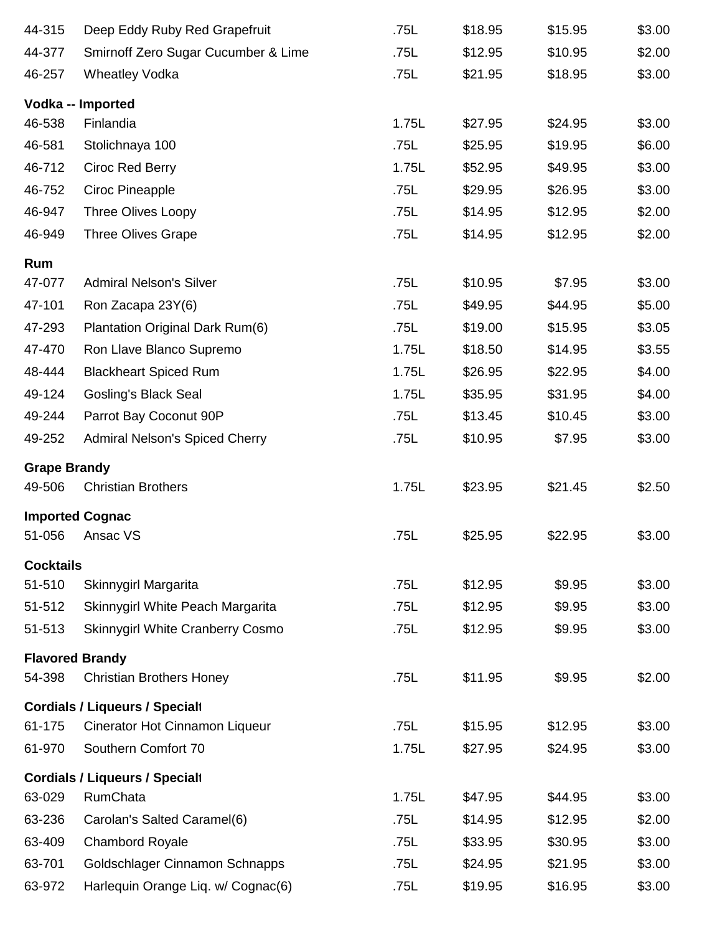| 44-315              | Deep Eddy Ruby Red Grapefruit         | .75L  | \$18.95 | \$15.95 | \$3.00 |
|---------------------|---------------------------------------|-------|---------|---------|--------|
| 44-377              | Smirnoff Zero Sugar Cucumber & Lime   | .75L  | \$12.95 | \$10.95 | \$2.00 |
| 46-257              | <b>Wheatley Vodka</b>                 | .75L  | \$21.95 | \$18.95 | \$3.00 |
|                     | Vodka -- Imported                     |       |         |         |        |
| 46-538              | Finlandia                             | 1.75L | \$27.95 | \$24.95 | \$3.00 |
| 46-581              | Stolichnaya 100                       | .75L  | \$25.95 | \$19.95 | \$6.00 |
| 46-712              | Ciroc Red Berry                       | 1.75L | \$52.95 | \$49.95 | \$3.00 |
| 46-752              | Ciroc Pineapple                       | .75L  | \$29.95 | \$26.95 | \$3.00 |
| 46-947              | <b>Three Olives Loopy</b>             | .75L  | \$14.95 | \$12.95 | \$2.00 |
| 46-949              | <b>Three Olives Grape</b>             | .75L  | \$14.95 | \$12.95 | \$2.00 |
| Rum                 |                                       |       |         |         |        |
| 47-077              | <b>Admiral Nelson's Silver</b>        | .75L  | \$10.95 | \$7.95  | \$3.00 |
| 47-101              | Ron Zacapa 23Y(6)                     | .75L  | \$49.95 | \$44.95 | \$5.00 |
| 47-293              | Plantation Original Dark Rum(6)       | .75L  | \$19.00 | \$15.95 | \$3.05 |
| 47-470              | Ron Llave Blanco Supremo              | 1.75L | \$18.50 | \$14.95 | \$3.55 |
| 48-444              | <b>Blackheart Spiced Rum</b>          | 1.75L | \$26.95 | \$22.95 | \$4.00 |
| 49-124              | <b>Gosling's Black Seal</b>           | 1.75L | \$35.95 | \$31.95 | \$4.00 |
| 49-244              | Parrot Bay Coconut 90P                | .75L  | \$13.45 | \$10.45 | \$3.00 |
| 49-252              | <b>Admiral Nelson's Spiced Cherry</b> | .75L  | \$10.95 | \$7.95  | \$3.00 |
| <b>Grape Brandy</b> |                                       |       |         |         |        |
| 49-506              | <b>Christian Brothers</b>             | 1.75L | \$23.95 | \$21.45 | \$2.50 |
|                     | <b>Imported Cognac</b>                |       |         |         |        |
| 51-056              | Ansac VS                              | .75L  | \$25.95 | \$22.95 | \$3.00 |
| <b>Cocktails</b>    |                                       |       |         |         |        |
| 51-510              | Skinnygirl Margarita                  | .75L  | \$12.95 | \$9.95  | \$3.00 |
| 51-512              | Skinnygirl White Peach Margarita      | .75L  | \$12.95 | \$9.95  | \$3.00 |
| 51-513              | Skinnygirl White Cranberry Cosmo      | .75L  | \$12.95 | \$9.95  | \$3.00 |
|                     | <b>Flavored Brandy</b>                |       |         |         |        |
| 54-398              | <b>Christian Brothers Honey</b>       | .75L  | \$11.95 | \$9.95  | \$2.00 |
|                     | <b>Cordials / Liqueurs / Specialt</b> |       |         |         |        |
| 61-175              | Cinerator Hot Cinnamon Liqueur        | .75L  | \$15.95 | \$12.95 | \$3.00 |
| 61-970              | Southern Comfort 70                   | 1.75L | \$27.95 | \$24.95 | \$3.00 |
|                     | <b>Cordials / Liqueurs / Specialt</b> |       |         |         |        |
| 63-029              | RumChata                              | 1.75L | \$47.95 | \$44.95 | \$3.00 |
| 63-236              | Carolan's Salted Caramel(6)           | .75L  | \$14.95 | \$12.95 | \$2.00 |
| 63-409              | <b>Chambord Royale</b>                | .75L  | \$33.95 | \$30.95 | \$3.00 |
| 63-701              | Goldschlager Cinnamon Schnapps        | .75L  | \$24.95 | \$21.95 | \$3.00 |
| 63-972              | Harlequin Orange Liq. w/ Cognac(6)    | .75L  | \$19.95 | \$16.95 | \$3.00 |